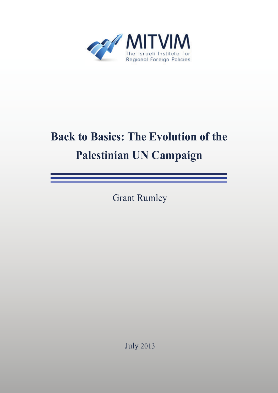

# **Back to Basics: The Evolution of the Palestinian UN Campaign**

Grant Rumley

July 2013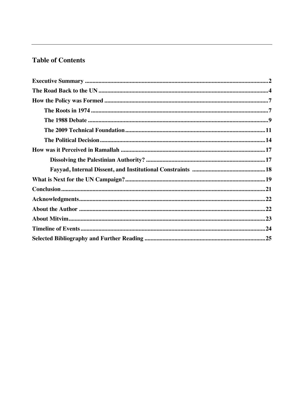## **Table of Contents**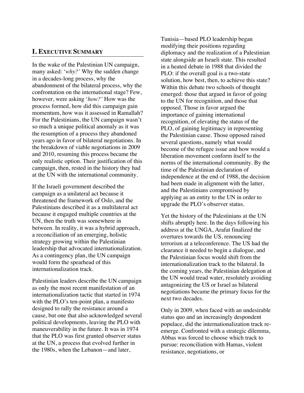#### **I. EXECUTIVE SUMMARY**

In the wake of the Palestinian UN campaign, many asked: '*why?'* Why the sudden change in a decades-long process, why the abandonment of the bilateral process, why the confrontation on the international stage? Few, however, were asking '*how?'* How was the process formed, how did this campaign gain momentum, how was it assessed in Ramallah? For the Palestinians, the UN campaign wasn't so much a unique political anomaly as it was the resumption of a process they abandoned years ago in favor of bilateral negotiations. In the breakdown of viable negotiations in 2009 and 2010, resuming this process became the only realistic option. Their justification of this campaign, then, rested in the history they had at the UN with the international community.

If the Israeli government described the campaign as a unilateral act because it threatened the framework of Oslo, and the Palestinians described it as a multilateral act because it engaged multiple countries at the UN, then the truth was somewhere in between. In reality, it was a hybrid approach, a reconciliation of an emerging, holistic strategy growing within the Palestinian leadership that advocated internationalization. As a contingency plan, the UN campaign would form the spearhead of this internationalization track.

Palestinian leaders describe the UN campaign as only the most recent manifestation of an internationalization tactic that started in 1974 with the PLO's ten-point plan, a manifesto designed to rally the resistance around a cause, but one that also acknowledged several political developments, leaving the PLO with maneuverability in the future. It was in 1974 that the PLO was first granted observer status at the UN, a process that evolved further in the 1980s, when the Lebanon—and later,

Tunisia—based PLO leadership began modifying their positions regarding diplomacy and the realization of a Palestinian state alongside an Israeli state. This resulted in a heated debate in 1988 that divided the PLO: if the overall goal is a two-state solution, how best, then, to achieve this state? Within this debate two schools of thought emerged: those that argued in favor of going to the UN for recognition, and those that opposed. Those in favor argued the importance of gaining international recognition, of elevating the status of the PLO, of gaining legitimacy in representing the Palestinian cause. Those opposed raised several questions, namely what would become of the refugee issue and how would a liberation movement conform itself to the norms of the international community. By the time of the Palestinian declaration of independence at the end of 1988, the decision had been made in alignment with the latter, and the Palestinians compromised by applying as an entity to the UN in order to upgrade the PLO's observer status.

Yet the history of the Palestinians at the UN shifts abruptly here. In the days following his address at the UNGA, Arafat finalized the overtures towards the US, renouncing terrorism at a teleconference. The US had the clearance it needed to begin a dialogue, and the Palestinian focus would shift from the internationalization track to the bilateral. In the coming years, the Palestinian delegation at the UN would tread water, resolutely avoiding antagonizing the US or Israel as bilateral negotiations became the primary focus for the next two decades.

Only in 2009, when faced with an undesirable status quo and an increasingly despondent populace, did the internationalization track reemerge. Confronted with a strategic dilemma, Abbas was forced to choose which track to pursue: reconciliation with Hamas, violent resistance, negotiations, or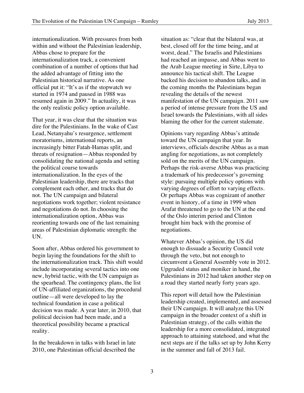internationalization. With pressures from both within and without the Palestinian leadership, Abbas chose to prepare for the internationalization track, a convenient combination of a number of options that had the added advantage of fitting into the Palestinian historical narrative. As one official put it: "It's as if the stopwatch we started in 1974 and paused in 1988 was resumed again in 2009." In actuality, it was the only realistic policy option available.

That year, it was clear that the situation was dire for the Palestinians. In the wake of Cast Lead, Netanyahu's resurgence, settlement moratoriums, international reports, an increasingly bitter Fatah-Hamas split, and threats of resignation—Abbas responded by consolidating the national agenda and setting the political course towards internationalization. In the eyes of the Palestinian leadership, there are tracks that complement each other, and tracks that do not. The UN campaign and bilateral negotiations work together; violent resistance and negotiations do not. In choosing the internationalization option, Abbas was reorienting towards one of the last remaining areas of Palestinian diplomatic strength: the UN.

Soon after, Abbas ordered his government to begin laying the foundations for the shift to the internationalization track. This shift would include incorporating several tactics into one new, hybrid tactic, with the UN campaign as the spearhead. The contingency plans, the list of UN-affiliated organizations, the procedural outline—all were developed to lay the technical foundation in case a political decision was made. A year later, in 2010, that political decision had been made, and a theoretical possibility became a practical reality.

In the breakdown in talks with Israel in late 2010, one Palestinian official described the

situation as: "clear that the bilateral was, at best, closed off for the time being, and at worst, dead." The Israelis and Palestinians had reached an impasse, and Abbas went to the Arab League meeting in Sirte, Libya to announce his tactical shift. The League backed his decision to abandon talks, and in the coming months the Palestinians began revealing the details of the newest manifestation of the UN campaign. 2011 saw a period of intense pressure from the US and Israel towards the Palestinians, with all sides blaming the other for the current stalemate.

Opinions vary regarding Abbas's attitude toward the UN campaign that year. In interviews, officials describe Abbas as a man angling for negotiations, as not completely sold on the merits of the UN campaign. Perhaps the risk-averse Abbas was practicing a trademark of his predecessor's governing style: pursuing multiple policy options with varying degrees of effort to varying effects. Or perhaps Abbas was cognizant of another event in history, of a time in 1999 when Arafat threatened to go to the UN at the end of the Oslo interim period and Clinton brought him back with the promise of negotiations.

Whatever Abbas's opinion, the US did enough to dissuade a Security Council vote through the veto, but not enough to circumvent a General Assembly vote in 2012. Upgraded status and moniker in hand, the Palestinians in 2012 had taken another step on a road they started nearly forty years ago.

This report will detail how the Palestinian leadership created, implemented, and assessed their UN campaign. It will analyze this UN campaign in the broader context of a shift in Palestinian strategy, of the calls within the leadership for a more consolidated, integrated approach to attaining statehood, and what the next steps are if the talks set up by John Kerry in the summer and fall of 2013 fail.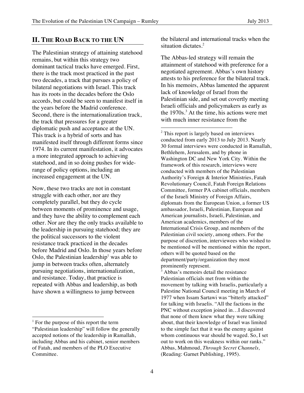#### **II. THE ROAD BACK TO THE UN**

The Palestinian strategy of attaining statehood remains, but within this strategy two dominant tactical tracks have emerged. First, there is the track most practiced in the past two decades, a track that pursues a policy of bilateral negotiations with Israel. This track has its roots in the decades before the Oslo accords, but could be seen to manifest itself in the years before the Madrid conference. Second, there is the internationalization track, the track that pressures for a greater diplomatic push and acceptance at the UN. This track is a hybrid of sorts and has manifested itself through different forms since 1974. In its current manifestation, it advocates a more integrated approach to achieving statehood, and in so doing pushes for widerange of policy options, including an increased engagement at the UN.

Now, these two tracks are not in constant struggle with each other, nor are they completely parallel, but they do cycle between moments of prominence and usage, and they have the ability to complement each other. Nor are they the only tracks available to the leadership in pursuing statehood; they are the political successors to the violent resistance track practiced in the decades before Madrid and Oslo. In those years before Oslo, the Palestinian leadership<sup>1</sup> was able to jump in between tracks often, alternately pursuing negotiations, internationalization, and resistance. Today, that practice is repeated with Abbas and leadership, as both have shown a willingness to jump between

 

the bilateral and international tracks when the situation dictates.<sup>2</sup>

The Abbas-led strategy will remain the attainment of statehood with preference for a negotiated agreement. Abbas's own history attests to his preference for the bilateral track. In his memoirs, Abbas lamented the apparent lack of knowledge of Israel from the Palestinian side, and set out covertly meeting Israeli officials and policymakers as early as the  $1970s<sup>3</sup>$ . At the time, his actions were met with much inner resistance from the

 

<sup>2</sup> This report is largely based on interviews conducted from early 2013 to July 2013. Nearly 30 formal interviews were conducted in Ramallah, Bethlehem, Jerusalem, and by phone in Washington DC and New York City. Within the framework of this research, interviews were conducted with members of the Palestinian Authority's Foreign & Interior Ministries, Fatah Revolutionary Council, Fatah Foreign Relations Committee, former PA cabinet officials, members of the Israeli Ministry of Foreign Affairs, diplomats from the European Union, a former US ambassador, Israeli, Palestinian, European and American journalists, Israeli, Palestinian, and American academics, members of the International Crisis Group, and members of the Palestinian civil society, among others. For the purpose of discretion, interviewees who wished to be mentioned will be mentioned within the report, others will be quoted based on the department/party/organization they most prominently represent.

<sup>3</sup> Abbas's memoirs detail the resistance Palestinian officials met from within the movement by talking with Israelis, particularly a Palestine National Council meeting in March of 1977 when Issam Sartawi was "bitterly attacked" for talking with Israelis. "All the factions in the PNC without exception joined in…I discovered that none of them knew what they were talking about, that their knowledge of Israel was limited to the simple fact that it was the enemy against whom continuous war should be waged. So, I set out to work on this weakness within our ranks." Abbas, Mahmoud, *Through Secret Channels,*  (Reading: Garnet Publishing, 1995).

<sup>&</sup>lt;sup>1</sup> For the purpose of this report the term

<sup>&</sup>quot;Palestinian leadership" will follow the generally accepted notions of the leadership in Ramallah, including Abbas and his cabinet, senior members of Fatah, and members of the PLO Executive Committee.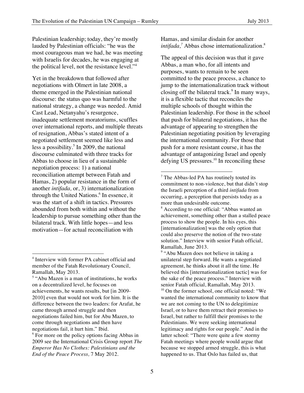Palestinian leadership; today, they're mostly lauded by Palestinian officials: "he was the most courageous man we had, he was meeting with Israelis for decades, he was engaging at the political level, not the resistance level."<sup>4</sup>

Yet in the breakdown that followed after negotiations with Olmert in late 2008, a theme emerged in the Palestinian national discourse: the status quo was harmful to the national strategy, a change was needed. Amid Cast Lead, Netanyahu's resurgence, inadequate settlement moratoriums, scuffles over international reports, and multiple threats of resignation, Abbas's stated intent of a negotiated settlement seemed like less and less a possibility. 5 In 2009, the national discourse culminated with three tracks for Abbas to choose in lieu of a sustainable negotiation process: 1) a national reconciliation attempt between Fatah and Hamas, 2) popular resistance in the form of another *intifada,* or, 3) internationalization through the United Nations.<sup>6</sup> In essence, it was the start of a shift in tactics. Pressures abounded from both within and without the leadership to pursue something other than the bilateral track. With little hopes—and less motivation—for actual reconciliation with

 

Hamas, and similar disdain for another *intifada*,<sup>7</sup> Abbas chose internationalization.<sup>8</sup>

The appeal of this decision was that it gave Abbas, a man who, for all intents and purposes, wants to remain to be seen committed to the peace process, a chance to jump to the internationalization track without closing off the bilateral track.<sup>9</sup> In many ways, it is a flexible tactic that reconciles the multiple schools of thought within the Palestinian leadership. For those in the school that push for bilateral negotiations, it has the advantage of appearing to strengthen the Palestinian negotiating position by leveraging the international community. For those that push for a more resistant course, it has the advantage of antagonizing Israel and openly defying US pressures. $^{10}$  In reconciling these

 

<sup>9</sup> "Abu Mazen does not believe in taking a unilateral step forward. He wants a negotiated agreement, he thinks about it all the time. He believed this [internationalization tactic] was for the sake of the peace process." Interview with senior Fatah official, Ramallah, May 2013.  $10$  On the former school, one official noted: "We wanted the international community to know that we are not coming to the UN to delegitimize Israel, or to have them retract their promises to Israel, but rather to fulfill their promises to the Palestinians. We were seeking international legitimacy and rights for our people." And in the latter school: "There were quite a few stormy Fatah meetings where people would argue that because we stopped armed struggle, this is what happened to us. That Oslo has failed us, that

<sup>4</sup> Interview with former PA cabinet official and member of the Fatah Revolutionary Council, Ramallah, May 2013.

<sup>&</sup>lt;sup>5</sup> "Abu Mazen is a man of institutions, he works on a decentralized level, he focuses on achievements, he wants results, but [in 2009- 2010] even that would not work for him. It is the difference between the two leaders: for Arafat, he came through armed struggle and then negotiations failed him, but for Abu Mazen, to come through negotiations and then have negotiations fail, it hurt him." Ibid.

<sup>&</sup>lt;sup>6</sup> For more on the policy options facing Abbas in 2009 see the International Crisis Group report *The Emperor Has No Clothes: Palestinians and the End of the Peace Process,* 7 May 2012.

<sup>&</sup>lt;sup>7</sup> The Abbas-led PA has routinely touted its commitment to non-violence, but that didn't stop the Israeli perception of a third *intifada* from occurring, a perception that persists today as a more than undesirable outcome.

<sup>&</sup>lt;sup>8</sup> According to one official: "Abbas wanted an achievement, something other than a stalled peace process to show the people. In his eyes, this [internationalization] was the only option that could also preserve the notion of the two-state solution." Interview with senior Fatah official, Ramallah, June 2013.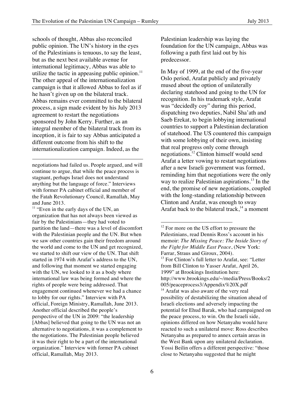schools of thought, Abbas also reconciled public opinion. The UN's history in the eyes of the Palestinians is tenuous, to say the least, but as the next best available avenue for international legitimacy, Abbas was able to utilize the tactic in appeasing public opinion. $11$ The other appeal of the internationalization campaign is that it allowed Abbas to feel as if he hasn't given up on the bilateral track. Abbas remains ever committed to the bilateral process, a sign made evident by his July 2013 agreement to restart the negotiations sponsored by John Kerry. Further, as an integral member of the bilateral track from its inception, it is fair to say Abbas anticipated a different outcome from his shift to the internationalization campaign. Indeed, as the

negotiations had failed us. People argued, and will continue to argue, that while the peace process is stagnant, perhaps Israel does not understand anything but the language of force." Interviews with former PA cabinet official and member of the Fatah Revolutionary Council, Ramallah, May and June 2013.

<u> 1989 - Jan Samuel Barbara, poeta estadounidense de la propia de la propia de la propia de la propia de la pr</u>

 $11$  "Even in the early days of the UN, an organization that has not always been viewed as fair by the Palestinians—they had voted to partition the land—there was a level of discomfort with the Palestinian people and the UN. But when we saw other countries gain their freedom around the world and come to the UN and get recognized, we started to shift our view of the UN. That shift started in 1974 with Arafat's address to the UN, and following that moment we started engaging with the UN, we looked to it as a body where international law was being formed and where the rights of people were being addressed. That engagement continued whenever we had a chance to lobby for our rights." Interview with PA official, Foreign Ministry, Ramallah, June 2013. Another official described the people's perspective of the UN in 2009: "the leadership [Abbas] believed that going to the UN was not an alternative to negotiations, it was a complement to the negotiations. The Palestinian people believed it was their right to be a part of the international organization." Interview with former PA cabinet official, Ramallah, May 2013.

Palestinian leadership was laying the foundation for the UN campaign, Abbas was following a path first laid out by his predecessor.

In May of 1999, at the end of the five-year Oslo period, Arafat publicly and privately mused about the option of unilaterally declaring statehood and going to the UN for recognition. In his trademark style, Arafat was "decidedly coy" during this period, dispatching two deputies, Nabil Sha'ath and Saeb Erekat, to begin lobbying international countries to support a Palestinian declaration of statehood. The US countered this campaign with some lobbying of their own, insisting that real progress only come through negotiations.<sup>12</sup> Clinton himself would send Arafat a letter vowing to restart negotiations after a new Israeli government was formed, reminding him that negotiations were the only way to realize Palestinian aspirations.<sup>13</sup> In the end, the promise of new negotiations, coupled with the long-standing relationship between Clinton and Arafat, was enough to sway Arafat back to the bilateral track,<sup>14</sup> a moment

 <sup>12</sup> For more on the US effort to pressure the Palestinians, read Dennis Ross's account in his memoir: *The Missing Peace: The Inside Story of the Fight for Middle East Peace*, (New York: Farrar, Straus and Giroux, 2004). <sup>13</sup> For Clinton's full letter to Arafat, see: "Letter from Bill Clinton to Yasser Arafat, April 26, 1999" at Brookings Institution here: http://www.brookings.edu/~/media/Press/Books/2 005/peaceprocess3/Appendix%20X.pdf <sup>14</sup> Arafat was also aware of the very real possibility of destabilizing the situation ahead of Israeli elections and adversely impacting the potential for Ehud Barak, who had campaigned on the peace process, to win. On the Israeli side, opinions differed on how Netanyahu would have reacted to such a unilateral move: Ross describes Netanyahu as prepared to annex certain areas in the West Bank upon any unilateral declaration. Yossi Beilin offers a different perspective: "those close to Netanyahu suggested that he might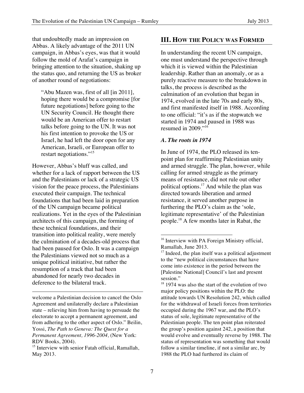that undoubtedly made an impression on Abbas. A likely advantage of the 2011 UN campaign, in Abbas's eyes, was that it would follow the mold of Arafat's campaign in bringing attention to the situation, shaking up the status quo, and returning the US as broker of another round of negotiations:

"Abu Mazen was, first of all [in 2011], hoping there would be a compromise [for future negotiations] before going to the UN Security Council. He thought there would be an American offer to restart talks before going to the UN. It was not his first intention to provoke the US or Israel, he had left the door open for any American, Israeli, or European offer to restart negotiations."<sup>15</sup>

However, Abbas's bluff was called, and whether for a lack of rapport between the US and the Palestinians or lack of a strategic US vision for the peace process, the Palestinians executed their campaign. The technical foundations that had been laid in preparation of the UN campaign became political realizations. Yet in the eyes of the Palestinian architects of this campaign, the forming of these technical foundations, and their transition into political reality, were merely the culmination of a decades-old process that had been paused for Oslo. It was a campaign the Palestinians viewed not so much as a unique political initiative, but rather the resumption of a track that had been abandoned for nearly two decades in deference to the bilateral track.

<u> 1989 - Jan Samuel Barbara, poeta estadounidense de la propia de la propia de la propia de la propia de la pr</u>

#### **III. HOW THE POLICY WAS FORMED**

In understanding the recent UN campaign, one must understand the perspective through which it is viewed within the Palestinian leadership. Rather than an anomaly, or as a purely reactive measure to the breakdown in talks, the process is described as the culmination of an evolution that began in 1974, evolved in the late 70s and early 80s, and first manifested itself in 1988. According to one official: "it's as if the stopwatch we started in 1974 and paused in 1988 was resumed in 2009."<sup>16</sup>

#### *A. The roots in 1974*

In June of 1974, the PLO released its tenpoint plan for reaffirming Palestinian unity and armed struggle. The plan, however, while calling for armed struggle as the primary means of resistance, did not rule out other political options. <sup>17</sup> And while the plan was directed towards liberation and armed resistance, it served another purpose in furthering the PLO's claim as the 'sole, legitimate representative' of the Palestinian people.<sup>18</sup> A few months later in Rabat, the

 

 $18$  1974 was also the start of the evolution of two major policy positions within the PLO: the attitude towards UN Resolution 242, which called for the withdrawal of Israeli forces from territories occupied during the 1967 war, and the PLO's status of sole, legitimate representative of the Palestinian people. The ten point plan reiterated the group's position against 242, a position that would evolve and eventually reverse by 1988. The status of representation was something that would follow a similar timeline, if not a similar arc, by 1988 the PLO had furthered its claim of

welcome a Palestinian decision to cancel the Oslo Agreement and unilaterally declare a Palestinian state – relieving him from having to persuade the electorate to accept a permanent agreement, and from adhering to the other aspect of Oslo." Beilin, Yossi, *The Path to Geneva: The Quest for a Permanent Agreement, 1996-2004,* (New York: RDV Books, 2004).

<sup>&</sup>lt;sup>15</sup> Interview with senior Fatah official, Ramallah, May 2013.

<sup>&</sup>lt;sup>16</sup> Interview with PA Foreign Ministry official, Ramallah, June 2013.

 $17$  Indeed, the plan itself was a political adjustment to the "new political circumstances that have come into existence in the period between the [Palestine National] Council's last and present session."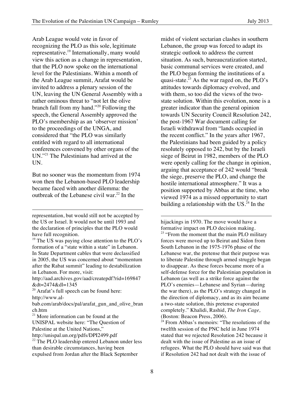Arab League would vote in favor of recognizing the PLO as this sole, legitimate representative.<sup>19</sup> Internationally, many would view this action as a change in representation, that the PLO now spoke on the international level for the Palestinians. Within a month of the Arab League summit, Arafat would be invited to address a plenary session of the UN, leaving the UN General Assembly with a rather ominous threat to "not let the olive branch fall from my hand."<sup>20</sup> Following the speech, the General Assembly approved the PLO's membership as an 'observer mission' to the proceedings of the UNGA, and considered that "the PLO was similarly entitled with regard to all international conferences convened by other organs of the UN."<sup>21</sup> The Palestinians had arrived at the UN.

But no sooner was the momentum from 1974 won then the Lebanon-based PLO leadership became faced with another dilemma: the outbreak of the Lebanese civil war.<sup>22</sup> In the

 

midst of violent sectarian clashes in southern Lebanon, the group was forced to adapt its strategic outlook to address the current situation. As such, bureaucratization started, basic communal services were created, and the PLO began forming the institutions of a quasi-state.<sup>23</sup> As the war raged on, the PLO's attitudes towards diplomacy evolved, and with them, so too did the views of the twostate solution. Within this evolution, none is a greater indicator than the general opinion towards UN Security Council Resolution 242, the post-1967 War document calling for Israeli withdrawal from "lands occupied in the recent conflict." In the years after 1967, the Palestinians had been guided by a policy resolutely opposed to 242, but by the Israeli siege of Beirut in 1982, members of the PLO were openly calling for the change in opinion, arguing that acceptance of 242 would "break the siege, preserve the PLO, and change the hostile international atmosphere." It was a position supported by Abbas at the time, who viewed 1974 as a missed opportunity to start building a relationship with the  $US<sup>24</sup>$  In the

 hijackings in 1970. The move would have a formative impact on PLO decision making. <sup>23</sup> "From the moment that the main PLO military forces were moved up to Beirut and Sidon from South Lebanon in the 1975-1976 phase of the Lebanese war, the pretense that their purpose was to liberate Palestine through armed struggle began to disappear. As these forces became more of a self-defense force for the Palestinian population in Lebanon (as well as a strike force against the PLO's enemies—Lebanese and Syrian—during the war there), as the PLO's strategy changed in the direction of diplomacy, and as its aim became a two-state solution, this pretense evaporated completely." Khalidi, Rashid, *The Iron Cage,*  (Boston: Beacon Press, 2006).

representation, but would still not be accepted by the US or Israel. It would not be until 1993 and the declaration of principles that the PLO would have full recognition.

 $19$  The US was paying close attention to the PLO's formation of a "state within a state" in Lebanon. In State Department cables that were declassified in 2005, the US was concerned about "momentum after the Rabat summit" leading to destabilization in Lebanon. For more, visit:

http://aad.archives.gov/aad/createpdf?rid=169847 &dt=2474&dl=1345

 $20$  Arafat's full speech can be found here: http://www.al-

bab.com/arab/docs/pal/arafat\_gun\_and\_olive\_bran ch.htm

<sup>21</sup> More information can be found at the UNISPAL website here: "The Question of

Palestine at the United Nations,"

http://unispal.un.org/pdfs/DPI2499.pdf

<sup>&</sup>lt;sup>22</sup> The PLO leadership entered Lebanon under less than desirable circumstances, having been expulsed from Jordan after the Black September

 $24$  From Abbas's memoirs: "The resolutions of the twelfth session of the PNC held in June 1974 stated that we rejected Resolution 242 because it dealt with the issue of Palestine as an issue of refugees. What the PLO should have said was that if Resolution 242 had not dealt with the issue of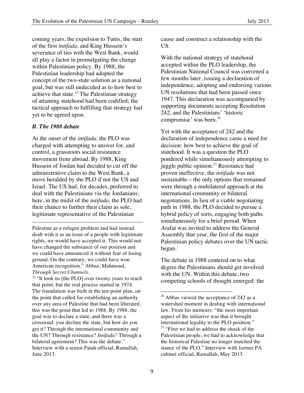coming years, the expulsion to Tunis, the start of the first *intifada,* and King Hussein's severance of ties with the West Bank, would all play a factor in promulgating the change within Palestinian policy. By 1988, the Palestinian leadership had adopted the concept of the two-state solution as a national goal, but was still undecided as to how best to achieve that state.<sup>25</sup> The Palestinian strategy of attaining statehood had been codified; the tactical approach to fulfilling that strategy had yet to be agreed upon.

#### *B. The 1988 debate*

At the onset of the *intifada,* the PLO was charged with attempting to answer for, and control, a grassroots social resistance movement from abroad. By 1988, King Hussein of Jordan had decided to cut off the administrative claim to the West Bank, a move heralded by the PLO if not the US and Israel. The US had, for decades, preferred to deal with the Palestinians via the Jordanians; here, in the midst of the *intifada,* the PLO had their chance to further their claim as sole, legitimate representative of the Palestinian

Palestine as a refugee problem and had instead dealt with it as an issue of a people with legitimate rights, we would have accepted it. This would not have changed the substance of our position and we could have announced it without fear of losing ground. On the contrary, we could have won American recognition." Abbas, Mahmoud, *Through Secret Channels.*

 

<sup>25</sup> "It took us [the PLO] over twenty years to reach that point, but the real process started in 1974. The foundation was built in the ten-point plan, on the point that called for establishing an authority over any area of Palestine that had been liberated, this was the point that led to 1988. By 1988, the goal was to declare a state, and there was a crossroad: you declare the state, but how do you get it? Through the international community and the UN? Through resistance? *Intifada?* Through a bilateral agreement? This was the debate." Interview with a senior Fatah official, Ramallah, June 2013.

cause and construct a relationship with the US.

With the national strategy of statehood accepted within the PLO leadership, the Palestinian National Council was convened a few months later, issuing a declaration of independence, adopting and endorsing various UN resolutions that had been passed since 1947. This declaration was accompanied by supporting documents accepting Resolution 242, and the Palestinians' 'historic compromise' was born.<sup>26</sup>

Yet with the acceptance of 242 and the declaration of independence came a need for decision: how best to achieve the goal of statehood. It was a question the PLO pondered while simultaneously attempting to juggle public opinion.27 Resistance had proven ineffective, the *intifada* was not sustainable—the only options that remained were through a multilateral approach at the international community or bilateral negotiations. In lieu of a viable negotiating path in 1988, the PLO decided to pursue a hybrid policy of sorts, engaging both paths simultaneously for a brief period. When Arafat was invited to address the General Assembly that year, the first of the major Palestinian policy debates over the UN tactic began.

The debate in 1988 centered on to what degree the Palestinians should get involved with the UN. Within this debate, two competing schools of thought emerged: the

 $26$  Abbas viewed the acceptance of 242 as a watershed moment in dealing with international law. From his memoirs: "the most important aspect of the initiative was that it brought international legality to the PLO position." 27 "First we had to address the shock of the Palestinian people, we had to acknowledge that the historical Palestine no longer matched the stance of the PLO." Interview with former PA cabinet official, Ramallah, May 2013.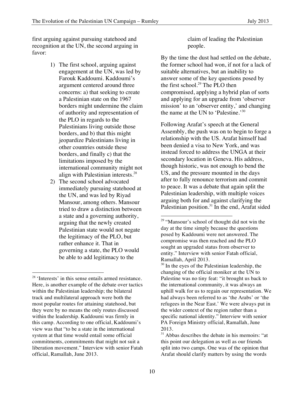first arguing against pursuing statehood and recognition at the UN, the second arguing in favor:

- 1) The first school, arguing against engagement at the UN, was led by Farouk Kaddoumi. Kaddoumi's argument centered around three concerns: a) that seeking to create a Palestinian state on the 1967 borders might undermine the claim of authority and representation of the PLO in regards to the Palestinians living outside those borders, and b) that this might jeopardize Palestinians living in other countries outside these borders, and finally c) that the limitations imposed by the international community might not align with Palestinian interests.<sup>28</sup>
- 2) The second school advocated immediately pursuing statehood at the UN, and was led by Riyad Mansour, among others. Mansour tried to draw a distinction between a state and a governing authority, arguing that the newly created Palestinian state would not negate the legitimacy of the PLO, but rather enhance it. That in governing a state, the PLO would be able to add legitimacy to the

 

claim of leading the Palestinian people.

By the time the dust had settled on the debate, the former school had won, if not for a lack of suitable alternatives, but an inability to answer some of the key questions posed by the first school. $^{29}$  The PLO then compromised, applying a hybrid plan of sorts and applying for an upgrade from 'observer mission' to an 'observer entity,' and changing the name at the UN to 'Palestine.'<sup>30</sup>

Following Arafat's speech at the General Assembly, the push was on to begin to forge a relationship with the US. Arafat himself had been denied a visa to New York, and was instead forced to address the UNGA at their secondary location in Geneva. His address, though historic, was not enough to bend the US, and the pressure mounted in the days after to fully renounce terrorism and commit to peace. It was a debate that again split the Palestinian leadership, with multiple voices arguing both for and against clarifying the Palestinian position.<sup>31</sup> In the end, Arafat sided

<sup>&</sup>lt;sup>28</sup> 'Interests' in this sense entails armed resistance. Here, is another example of the debate over tactics within the Palestinian leadership; the bilateral track and multilateral approach were both the most popular routes for attaining statehood, but they were by no means the only routes discussed within the leadership. Kaddoumi was firmly in this camp. According to one official, Kaddoumi's view was that "to be a state in the international system at that time would entail some official commitments, commitments that might not suit a liberation movement." Interview with senior Fatah official, Ramallah, June 2013.

<sup>&</sup>lt;sup>29</sup> "Mansour's school of thought did not win the day at the time simply because the questions posed by Kaddoumi were not answered. The compromise was then reached and the PLO sought an upgraded status from observer to entity." Interview with senior Fatah official, Ramallah, April 2013.

 $30$  In the eyes of the Palestinian leadership, the changing of the official moniker at the UN to Palestine was no tiny feat: "it brought us back to the international community, it was always an uphill walk for us to regain our representation. We had always been referred to as 'the Arabs' or 'the refugees in the Near East.' We were always put in the wider context of the region rather than a specific national identity." Interview with senior PA Foreign Ministry official, Ramallah, June 2013.

 $31$  Abbas describes the debate in his memoirs: "at this point our delegation as well as our friends split into two camps. One was of the opinion that Arafat should clarify matters by using the words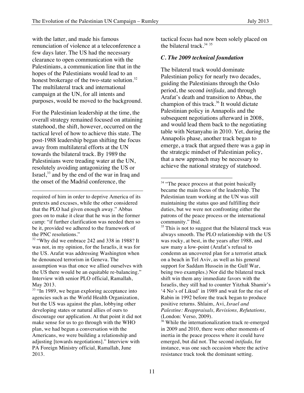with the latter, and made his famous renunciation of violence at a teleconference a few days later. The US had the necessary clearance to open communication with the Palestinians, a communication line that in the hopes of the Palestinians would lead to an honest brokerage of the two-state solution.<sup>32</sup> The multilateral track and international campaign at the UN, for all intents and purposes, would be moved to the background.

For the Palestinian leadership at the time, the overall strategy remained focused on attaining statehood, the shift, however, occurred on the tactical level of how to achieve this state. The post-1988 leadership began shifting the focus away from multilateral efforts at the UN towards the bilateral track. By 1989 the Palestinians were treading water at the UN, resolutely avoiding antagonizing the US or Israel, $33$  and by the end of the war in Iraq and the onset of the Madrid conference, the

required of him in order to deprive America of its pretexts and excuses, while the other considered that the PLO had given enough away." Abbas goes on to make it clear that he was in the former camp: "if further clarification was needed then so be it, provided we adhered to the framework of the PNC resolutions."

<u> 1989 - Jan Samuel Barbara, poeta esperanto-poeta esperanto-poeta esperanto-poeta esperanto-poeta esperanto-po</u>

<sup>32</sup> "Why did we embrace 242 and 338 in 1988? It was not, in my opinion, for the Israelis, it was for the US. Arafat was addressing Washington when he denounced terrorism in Geneva. The assumption was that once we allied ourselves with the US there would be an equitable re-balancing." Interview with senior PLO official, Ramallah, May 2013.

<sup>33</sup> "In 1989, we began exploring acceptance into agencies such as the World Health Organization, but the US was against the plan, lobbying other developing states or natural allies of ours to discourage our application. At that point it did not make sense for us to go through with the WHO plan, we had begun a conversation with the Americans, we were building a relationship and adjusting [towards negotiations]." Interview with PA Foreign Ministry official, Ramallah, June 2013.

tactical focus had now been solely placed on the bilateral track. $3435$ 

#### *C. The 2009 technical foundation*

The bilateral track would dominate Palestinian policy for nearly two decades, guiding the Palestinians through the Oslo period, the second *intifada,* and through Arafat's death and transition to Abbas, the champion of this track. $36$  It would dictate Palestinian policy in Annapolis and the subsequent negotiations afterward in 2008, and would lead them back to the negotiating table with Netanyahu in 2010. Yet, during the Annapolis phase, another track began to emerge, a track that argued there was a gap in the strategic mindset of Palestinian policy, that a new approach may be necessary to achieve the national strategy of statehood.

<sup>34</sup> "The peace process at that point basically became the main focus of the leadership. The Palestinian team working at the UN was still maintaining the status quo and fulfilling their duties, but we were not confronting either the patrons of the peace process or the international community." Ibid.

 

 $35$  This is not to suggest that the bilateral track was always smooth. The PLO relationship with the US was rocky, at best, in the years after 1988, and saw many a low-point (Arafat's refusal to condemn an uncovered plan for a terrorist attack on a beach in Tel Aviv, as well as his general support for Saddam Hussein in the Gulf War, being two examples.) Nor did the bilateral track shift win them any immediate favors with the Israelis, they still had to counter Yitzhak Shamir's '4 No's of Likud' in 1989 and wait for the rise of Rabin in 1992 before the track began to produce positive returns. Shlaim, Avi, *Israel and Palestine: Reappraisals, Revisions, Refutations,* (London: Verso*,* 2009).

<sup>36</sup> While the internationalization track re-emerged in 2009 and 2010, there were other moments of inertia in the peace process where it could have emerged, but did not. The second *intifada,* for instance, was one such occasion where the active resistance track took the dominant setting.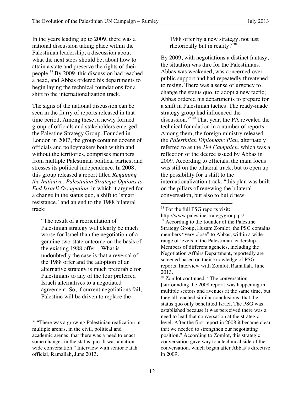In the years leading up to 2009, there was a national discussion taking place within the Palestinian leadership, a discussion about what the next steps should be, about how to attain a state and preserve the rights of their people.37 By 2009, this discussion had reached a head, and Abbas ordered his departments to begin laying the technical foundations for a shift to the internationalization track.

The signs of the national discussion can be seen in the flurry of reports released in that time period. Among these, a newly formed group of officials and stakeholders emerged: the Palestine Strategy Group. Founded in London in 2007, the group contains dozens of officials and policymakers both within and without the territories, comprises members from multiple Palestinian political parties, and stresses its political independence. In 2008, this group released a report titled *Regaining the Initiative: Palestinian Strategic Options to End Israeli Occupation,* in which it argued for a change in the status quo, a shift to 'smart resistance,' and an end to the 1988 bilateral track:

"The result of a reorientation of Palestinian strategy will clearly be much worse for Israel than the negotiation of a genuine two-state outcome on the basis of the existing 1988 offer…What is undoubtedly the case is that a reversal of the 1988 offer and the adoption of an alternative strategy is much preferable for Palestinians to any of the four preferred Israeli alternatives to a negotiated agreement. So, if current negotiations fail, Palestine will be driven to replace the

 

1988 offer by a new strategy, not just rhetorically but in reality."38

By 2009, with negotiations a distinct fantasy, the situation was dire for the Palestinians. Abbas was weakened, was concerned over public support and had repeatedly threatened to resign. There was a sense of urgency to change the status quo, to adopt a new tactic; Abbas ordered his departments to prepare for a shift in Palestinian tactics. The ready-made strategy group had influenced the discussion.<sup>39 40</sup> That year, the PA revealed the technical foundation in a number of reports. Among them, the foreign ministry released the *Palestinian Diplomatic Plan*, alternately referred to as the *194 Campaign*, which was a reflection of the decree issued by Abbas in 2009. According to officials, the main focus was still on the bilateral track, but to open up the possibility for a shift to the internationalization track: "this plan was built on the pillars of renewing the bilateral conversation, but also to build new

<sup>38</sup> For the full PSG reports visit: http://www.palestinestrategygroup.ps/ <sup>39</sup> According to the founder of the Palestine Strategy Group, Husam Zomlot, the PSG contains members "very close" to Abbas, within a widerange of levels in the Palestinian leadership. Members of different agencies, including the Negotiation Affairs Department, reportedly are screened based on their knowledge of PSG reports. Interview with Zomlot, Ramallah, June 2013.

<sup>&</sup>lt;sup>37</sup> "There was a growing Palestinian realization in multiple arenas, in the civil, political and academic arenas, that there was a need to enact some changes in the status quo. It was a nationwide conversation." Interview with senior Fatah official, Ramallah, June 2013.

<sup>40</sup> Zomlot continued: "The conversation [surrounding the 2008 report] was happening in multiple sectors and avenues at the same time, but they all reached similar conclusions: that the status quo only benefitted Israel. The PSG was established because it was perceived there was a need to lead that conversation at the strategic level. After the first report in 2008 it became clear that we needed to strengthen our negotiating position." According to Zomlot, this strategic conversation gave way to a technical side of the conversation, which began after Abbas's directive in 2009.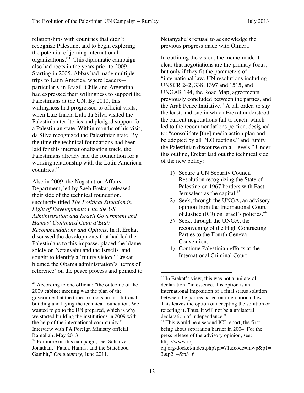relationships with countries that didn't recognize Palestine, and to begin exploring the potential of joining international organizations."41 This diplomatic campaign also had roots in the years prior to 2009. Starting in 2005, Abbas had made multiple trips to Latin America, where leaders particularly in Brazil, Chile and Argentina had expressed their willingness to support the Palestinians at the UN. By 2010, this willingness had progressed to official visits, when Luiz Inacia Lula da Silva visited the Palestinian territories and pledged support for a Palestinian state. Within months of his visit, da Silva recognized the Palestinian state. By the time the technical foundations had been laid for this internationalization track, the Palestinians already had the foundation for a working relationship with the Latin American countries.<sup>42</sup>

Also in 2009, the Negotiation Affairs Department, led by Saeb Erekat, released their side of the technical foundation, succinctly titled *The Political Situation in Light of Developments with the US Administration and Israeli Government and Hamas' Continued Coup d'Etat: Recommendations and Options.* In it, Erekat discussed the developments that had led the Palestinians to this impasse, placed the blame solely on Netanyahu and the Israelis, and sought to identify a 'future vision.' Erekat blamed the Obama administration's 'terms of reference' on the peace process and pointed to

 

Netanyahu's refusal to acknowledge the previous progress made with Olmert.

In outlining the vision, the memo made it clear that negotiations are the primary focus, but only if they fit the parameters of "international law, UN resolutions including UNSCR 242, 338, 1397 and 1515, and UNGAR 194, the Road Map, agreements previously concluded between the parties, and the Arab Peace Initiative." A tall order, to say the least, and one in which Erekat understood the current negotiations fail to reach, which led to the recommendations portion, designed to: "consolidate [the] media action plan and be adopted by all PLO factions," and "unify the Palestinian discourse on all levels." Under this outline, Erekat laid out the technical side of the new policy:

- 1) Secure a UN Security Council Resolution recognizing the State of Palestine on 1967 borders with East Jerusalem as the capital. $43$
- 2) Seek, through the UNGA, an advisory opinion from the International Court of Justice (ICJ) on Israel's policies.44
- 3) Seek, through the UNGA, the reconvening of the High Contracting Parties to the Fourth Geneva Convention.
- 4) Continue Palestinian efforts at the International Criminal Court.

<sup>&</sup>lt;sup>41</sup> According to one official: "the outcome of the 2009 cabinet meeting was the plan of the government at the time: to focus on institutional building and laying the technical foundation. We wanted to go to the UN prepared, which is why we started building the institutions in 2009 with the help of the international community." Interview with PA Foreign Ministry official, Ramallah, May 2013.

<sup>&</sup>lt;sup>42</sup> For more on this campaign, see: Schanzer, Jonathan, "Fatah, Hamas, and the Statehood Gambit," *Commentary,* June 2011.

<sup>43</sup> In Erekat's view, this was not a unilateral declaration: "in essence, this option is an international imposition of a final status solution between the parties based on international law. This leaves the option of accepting the solution or rejecting it. Thus, it will not be a unilateral declaration of independence."

<sup>&</sup>lt;sup>44</sup> This would be a second ICJ report, the first being about separation barrier in 2004. For the press release of the advisory opinion, see: http://www.icj-

cij.org/docket/index.php?pr=71&code=mwp&p1= 3&p2=4&p3=6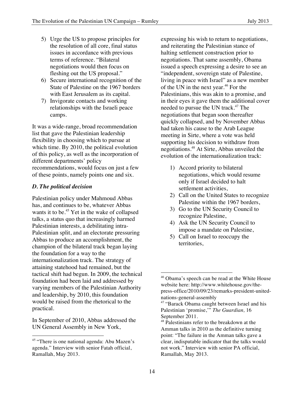- 5) Urge the US to propose principles for the resolution of all core, final status issues in accordance with previous terms of reference. "Bilateral negotiations would then focus on fleshing out the US proposal."
- 6) Secure international recognition of the State of Palestine on the 1967 borders with East Jerusalem as its capital.
- 7) Invigorate contacts and working relationships with the Israeli peace camps.

It was a wide-range, broad recommendation list that gave the Palestinian leadership flexibility in choosing which to pursue at which time. By 2010, the political evolution of this policy, as well as the incorporation of different departments' policy recommendations, would focus on just a few of these points, namely points one and six.

#### *D. The political decision*

Palestinian policy under Mahmoud Abbas has, and continues to be, whatever Abbas wants it to be.<sup>45</sup> Yet in the wake of collapsed talks, a status quo that increasingly harmed Palestinian interests, a debilitating intra-Palestinian split, and an electorate pressuring Abbas to produce an accomplishment, the champion of the bilateral track began laying the foundation for a way to the internationalization track. The strategy of attaining statehood had remained, but the tactical shift had begun. In 2009, the technical foundation had been laid and addressed by varying members of the Palestinian Authority and leadership, by 2010, this foundation would be raised from the rhetorical to the practical.

In September of 2010, Abbas addressed the UN General Assembly in New York,

expressing his wish to return to negotiations, and reiterating the Palestinian stance of halting settlement construction prior to negotiations. That same assembly, Obama issued a speech expressing a desire to see an "independent, sovereign state of Palestine, living in peace with Israel" as a new member of the UN in the next year.<sup>46</sup> For the Palestinians, this was akin to a promise, and in their eyes it gave them the additional cover needed to pursue the UN track.<sup>47</sup> The negotiations that began soon thereafter quickly collapsed, and by November Abbas had taken his cause to the Arab League meeting in Sirte, where a vote was held supporting his decision to withdraw from negotiations.48 At Sirte, Abbas unveiled the evolution of the internationalization track:

- 1) Accord priority to bilateral negotiations, which would resume only if Israel decided to halt settlement activities,
- 2) Call on the United States to recognize Palestine within the 1967 borders,
- 3) Go to the UN Security Council to recognize Palestine,
- 4) Ask the UN Security Council to impose a mandate on Palestine,
- 5) Call on Israel to reoccupy the territories,

 <sup>45</sup> "There is one national agenda: Abu Mazen's agenda." Interview with senior Fatah official, Ramallah, May 2013.

<sup>&</sup>lt;sup>46</sup> Obama's speech can be read at the White House website here: http://www.whitehouse.gov/thepress-office/2010/09/23/remarks-president-unitednations-general-assembly

<sup>&</sup>lt;sup>47</sup> "Barack Obama caught between Israel and his Palestinian 'promise,'" *The Guardian,* 16 September 2011.

<sup>&</sup>lt;sup>48</sup> Palestinians refer to the breakdown at the Amman talks in 2010 as the definitive turning point: "The failure in the Amman talks gave a clear, indisputable indicator that the talks would not work." Interview with senior PA official, Ramallah, May 2013.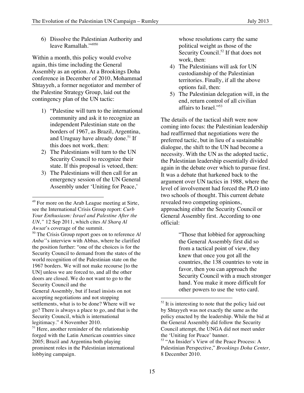Within a month, this policy would evolve again, this time including the General Assembly as an option. At a Brookings Doha conference in December of 2010, Mohammad Shtayyeh, a former negotiator and member of the Palestine Strategy Group, laid out the contingency plan of the UN tactic:

- 1) "Palestine will turn to the international community and ask it to recognize an independent Palestinian state on the borders of 1967, as Brazil, Argentina, and Uruguay have already done.<sup>51</sup> If this does not work, then:
- 2) The Palestinians will turn to the UN Security Council to recognize their state. If this proposal is vetoed, then:
- 3) The Palestinians will then call for an emergency session of the UN General Assembly under 'Uniting for Peace,'

 

whose resolutions carry the same political weight as those of the Security Council.<sup>52</sup> If that does not work, then:

- 4) The Palestinians will ask for UN custodianship of the Palestinian territories. Finally, if all the above options fail, then:
- 5) The Palestinian delegation will, in the end, return control of all civilian affairs to Israel."<sup>53</sup>

The details of the tactical shift were now coming into focus: the Palestinian leadership had reaffirmed that negotiations were the preferred tactic, but in lieu of a sustainable dialogue, the shift to the UN had become a necessity. With the UN as the adopted tactic, the Palestinian leadership essentially divided again in the debate over which to pursue first. It was a debate that harkened back to the argument over UN tactics in 1988, where the level of involvement had forced the PLO into two schools of thought. This current debate revealed two competing opinions, approaching either the Security Council or General Assembly first. According to one official:

> "Those that lobbied for approaching the General Assembly first did so from a tactical point of view, they knew that once you got all the countries, the 138 countries to vote in favor, then you can approach the Security Council with a much stronger hand. You make it more difficult for other powers to use the veto card.

<sup>&</sup>lt;sup>49</sup> For more on the Arab League meeting at Sirte, see the International Crisis Group report: *Curb Your Enthusiasm: Israel and Palestine After the UN,"* 12 Sep 2011, which cites *Al Sharq Al Awsat*'s coverage of the summit.

<sup>50</sup> The Crisis Group report goes on to reference *Al Anba'*'s interview with Abbas, where he clarified the position further: "one of the choices is for the Security Council to demand from the states of the world recognition of the Palestinian state on the 1967 borders. We will not make recourse [to the UN] unless we are forced to, and all the other doors are closed. We do not want to go to the Security Council and the

General Assembly, but if Israel insists on not accepting negotiations and not stopping settlements, what is to be done? Where will we go? There is always a place to go, and that is the Security Council, which is international legitimacy." 4 November 2010.

 $<sup>51</sup>$  Here, another reminder of the relationship</sup> forged with the Latin American countries since 2005; Brazil and Argentina both playing prominent roles in the Palestinian international lobbying campaign.

 $52$  It is interesting to note that the policy laid out by Shtayyeh was not exactly the same as the policy enacted by the leadership. While the bid at the General Assembly did follow the Security Council attempt, the UNGA did not meet under the 'Uniting for Peace' banner.

<sup>53 &</sup>quot;An Insider's View of the Peace Process: A Palestinian Perspective," *Brookings Doha Center,*  8 December 2010.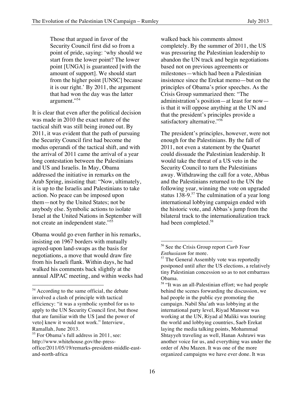Those that argued in favor of the Security Council first did so from a point of pride, saying: 'why should we start from the lower point? The lower point [UNGA] is guaranteed [with the amount of support]. We should start from the higher point [UNSC] because it is our right.' By 2011, the argument that had won the day was the latter argument."<sup>54</sup>

It is clear that even after the political decision was made in 2010 the exact nature of the tactical shift was still being ironed out. By 2011, it was evident that the path of pursuing the Security Council first had become the modus operandi of the tactical shift, and with the arrival of 2011 came the arrival of a year long contestation between the Palestinians and US and Israelis. In May, Obama addressed the initiative in remarks on the Arab Spring, insisting that: "Now, ultimately, it is up to the Israelis and Palestinians to take action. No peace can be imposed upon them—not by the United States; not be anybody else. Symbolic actions to isolate Israel at the United Nations in September will not create an independent state."55

Obama would go even further in his remarks, insisting on 1967 borders with mutually agreed-upon land-swaps as the basis for negotiations, a move that would draw fire from his Israeli flank. Within days, he had walked his comments back slightly at the annual AIPAC meeting, and within weeks had

 

walked back his comments almost completely. By the summer of 2011, the US was pressuring the Palestinian leadership to abandon the UN track and begin negotiations based not on previous agreements or milestones—which had been a Palestinian insistence since the Erekat memo—but on the principles of Obama's prior speeches. As the Crisis Group summarized then: "The administration's position—at least for now is that it will oppose anything at the UN and that the president's principles provide a satisfactory alternative."<sup>56</sup>

The president's principles, however, were not enough for the Palestinians. By the fall of 2011, not even a statement by the Quartet could dissuade the Palestinian leadership. It would take the threat of a US veto in the Security Council to turn the Palestinians away. Withdrawing the call for a vote, Abbas and the Palestinians returned to the UN the following year, winning the vote on upgraded status 138-9.<sup>57</sup> The culmination of a year long international lobbying campaign ended with the historic vote, and Abbas's jump from the bilateral track to the internationalization track had been completed.<sup>58</sup>

<sup>&</sup>lt;sup>54</sup> According to the same official, the debate involved a clash of principle with tactical efficiency: "it was a symbolic symbol for us to apply to the UN Security Council first, but those that are familiar with the US [and the power of veto] knew it would not work." Interview, Ramallah, June 2013.

<sup>&</sup>lt;sup>55</sup> For Obama's full address in 2011, see: http://www.whitehouse.gov/the-pressoffice/2011/05/19/remarks-president-middle-eastand-north-africa

<sup>56</sup> See the Crisis Group report *Curb Your Enthusiasm* for more.

<sup>&</sup>lt;sup>57</sup> The General Assembly vote was reportedly postponed until after the US elections, a relatively tiny Palestinian concession so as to not embarrass Obama.

<sup>&</sup>lt;sup>58</sup> "It was an all-Palestinian effort; we had people behind the scenes forwarding the discussion, we had people in the public eye promoting the campaign. Nabil Sha'ath was lobbying at the international party level, Riyad Mansour was working at the UN, Riyad al Maliki was touring the world and lobbying countries, Saeb Erekat laying the media talking points, Mohammad Shtayyeh traveling as well, Hanan Ashrawi was another voice for us, and everything was under the order of Abu Mazen. It was one of the more organized campaigns we have ever done. It was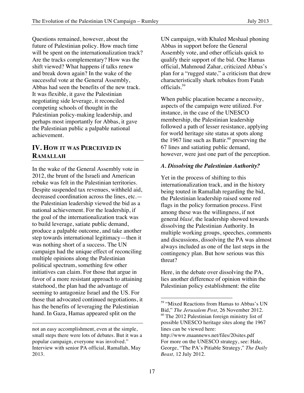Questions remained, however, about the future of Palestinian policy. How much time will be spent on the internationalization track? Are the tracks complementary? How was the shift viewed? What happens if talks renew and break down again? In the wake of the successful vote at the General Assembly, Abbas had seen the benefits of the new track. It was flexible, it gave the Palestinian negotiating side leverage, it reconciled competing schools of thought in the Palestinian policy-making leadership, and perhaps most importantly for Abbas, it gave the Palestinian public a palpable national achievement.

## **IV. HOW IT WAS PERCEIVED IN RAMALLAH**

In the wake of the General Assembly vote in 2012, the brunt of the Israeli and American rebuke was felt in the Palestinian territories. Despite suspended tax revenues, withheld aid, decreased coordination across the lines, etc. the Palestinian leadership viewed the bid as a national achievement. For the leadership, if the goal of the internationalization track was to build leverage, satiate public demand, produce a palpable outcome, and take another step towards international legitimacy—then it was nothing short of a success. The UN campaign had the unique effect of reconciling multiple opinions along the Palestinian political spectrum, something few other initiatives can claim. For those that argue in favor of a more resistant approach to attaining statehood, the plan had the advantage of seeming to antagonize Israel and the US. For those that advocated continued negotiations, it has the benefits of leveraging the Palestinian hand. In Gaza, Hamas appeared split on the

 

UN campaign, with Khaled Meshaal phoning Abbas in support before the General Assembly vote, and other officials quick to qualify their support of the bid. One Hamas official, Mahmoud Zahar, criticized Abbas's plan for a "rugged state," a criticism that drew characteristically shark rebukes from Fatah officials. 59

When public placation became a necessity, aspects of the campaign were utilized. For instance, in the case of the UNESCO membership, the Palestinian leadership followed a path of lesser resistance, applying for world heritage site status at spots along the 1967 line such as Battir.<sup>60</sup> preserving the 67 lines and satiating public demand, however, were just one part of the perception.

#### *A. Dissolving the Palestinian Authority?*

Yet in the process of shifting to this internationalization track, and in the history being touted in Ramallah regarding the bid, the Palestinian leadership raised some red flags in the policy formation process. First among these was the willingness, if not general *blasé,* the leadership showed towards dissolving the Palestinian Authority. In multiple working groups, speeches, comments and discussions, dissolving the PA was almost always included as one of the last steps in the contingency plan. But how serious was this threat?

Here, in the debate over dissolving the PA, lies another difference of opinion within the Palestinian policy establishment: the elite

not an easy accomplishment, even at the simple, small steps there were lots of debates. But it was a popular campaign, everyone was involved." Interview with senior PA official, Ramallah, May 2013.

<sup>59 &</sup>quot;Mixed Reactions from Hamas to Abbas's UN Bid," *The Jerusalem Post,* 26 November 2012. <sup>60</sup> The 2012 Palestinian foreign ministry list of possible UNESCO heritage sites along the 1967 lines can be viewed here:

http://www.maannews.net/files/20sites.pdf For more on the UNESCO strategy, see: Hale, George, "The PA's Pitiable Strategy," *The Daily Beast,* 12 July 2012.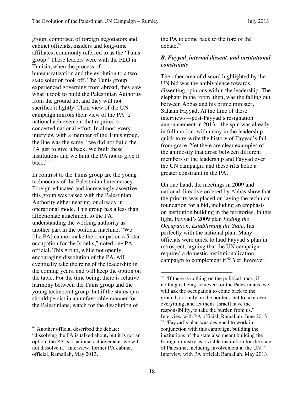group, comprised of foreign negotiators and cabinet officials, insiders and long-time affiliates, commonly referred to as the 'Tunis group.' These leaders were with the PLO in Tunisia, when the process of bureaucratization and the evolution to a twostate solution took off. The Tunis group experienced governing from abroad, they saw what it took to build the Palestinian Authority from the ground up, and they will not sacrifice it lightly. Their view of the UN campaign mirrors their view of the PA: a national achievement that required a concerted national effort. In almost every interview with a member of the Tunis group, the line was the same: "we did not build the PA just to give it back. We built these institutions and we built the PA not to give it back." $61$ 

In contrast to the Tunis group are the young technocrats of the Palestinian bureaucracy. Foreign-educated and increasingly assertive, this group was raised with the Palestinian Authority either nearing, or already in, operational mode. This group has a less than affectionate attachment to the PA, understanding the working authority as another part in the political machine. "We [the PA] cannot make the occupation a 5-star occupation for the Israelis," noted one PA official. This group, while not openly encouraging dissolution of the PA, will eventually take the reins of the leadership in the coming years, and will keep the option on the table. For the time being, there is relative harmony between the Tunis group and the young technocrat group, but if the status quo should persist in an unfavorable manner for the Palestinians, watch for the dissolution of

<sup>61</sup> Another official described the debate:

 

the PA to come back to the fore of the  $debate.<sup>62</sup>$ 

#### *B. Fayyad, internal dissent, and institutional constraints*

The other area of discord highlighted by the UN bid was the ambivalence towards dissenting opinions within the leadership. The elephant in the room, then, was the falling out between Abbas and his prime minister, Salaam Fayyad. At the time of these interviews—post-Fayyad's resignation announcement in 2013—the spin was already in full motion, with many in the leadership quick to re-write the history of Fayyad's fall from grace. Yet there are clear examples of the animosity that arose between different members of the leadership and Fayyad over the UN campaign, and these rifts belie a greater constraint in the PA.

On one hand, the meetings in 2009 and national directive ordered by Abbas show that the priority was placed on laying the technical foundation for a bid, including an emphasis on institution building in the territories. In this light, Fayyad's 2009 plan *Ending the Occupation, Establishing the State,* fits perfectly with the national plan. Many officials were quick to laud Fayyad's plan in retrospect, arguing that the UN campaign required a domestic institutionalization campaign to complement it. $63$  Yet, however

<sup>&</sup>quot;dissolving the PA is talked about, but it is not an option; the PA is a national achievement, we will not dissolve it." Interview, former PA cabinet official, Ramallah, May 2013.

 $62$  "If there is nothing on the political track, if nothing is being achieved for the Palestinians, we will ask the occupation to come back to the ground, not only on the borders, but to take over everything, and let them [Israel] have the responsibility, to take the burden from us." Interview with PA official, Ramallah, June 2013. 63 "Fayyad's plan was designed to work in conjunction with this campaign, building the institutions of the state also meant building the foreign ministry as a viable institution for the state of Palestine, including involvement at the UN." Interview with PA official, Ramallah, May 2013.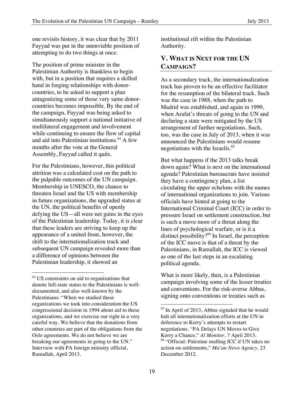one revisits history, it was clear that by 2011 Fayyad was put in the unenviable position of attempting to do two things at once.

The position of prime minister in the Palestinian Authority is thankless to begin with, but in a position that requires a skilled hand in forging relationships with donorcountries, to be asked to support a plan antagonizing some of those very same donorcountries becomes impossible. By the end of the campaign, Fayyad was being asked to simultaneously support a national initiative of multilateral engagement and involvement while continuing to ensure the flow of capital and aid into Palestinian institutions.<sup>64</sup> A few months after the vote at the General Assembly, Fayyad called it quits.

For the Palestinians, however, this political attrition was a calculated cost on the path to the palpable outcomes of the UN campaign. Membership in UNESCO, the chance to threaten Israel and the US with membership in future organizations, the upgraded status at the UN, the political benefits of openly defying the US—all were net gains in the eyes of the Palestinian leadership. Today, it is clear that these leaders are striving to keep up the appearance of a united front, however, the shift to the internationalization track and subsequent UN campaign revealed more than a difference of opinions between the Palestinian leadership, it showed an

 

institutional rift within the Palestinian Authority.

## **V. WHAT IS NEXT FOR THE UN CAMPAIGN?**

As a secondary track, the internationalization track has proven to be an effective facilitator for the resumption of the bilateral track. Such was the case in 1988, when the path to Madrid was established, and again in 1999, when Arafat's threats of going to the UN and declaring a state were mitigated by the US arrangement of further negotiations. Such, too, was the case in July of 2013, when it was announced the Palestinians would resume negotiations with the Israelis. 65

But what happens if the 2013 talks break down again? What is next on the international agenda? Palestinian bureaucrats have insisted they have a contingency plan, a list circulating the upper echelons with the names of international organizations to join. Various officials have hinted at going to the International Criminal Court (ICC) in order to pressure Israel on settlement construction, but is such a move more of a threat along the lines of psychological warfare, or is it a distinct possibility?<sup>66</sup> In Israel, the perception of the ICC move is that of a threat by the Palestinians, in Ramallah, the ICC is viewed as one of the last steps in an escalating political agenda.

What is more likely, then, is a Palestinian campaign involving some of the lesser treaties and conventions. For the risk-averse Abbas, signing onto conventions or treaties such as

<sup>64</sup> US constraints on aid to organizations that denote full-state status to the Palestinians is welldocumented, and also well-known by the Palestinians: "When we studied these organizations we took into consideration the US congressional decision in 1994 about aid to these organizations, and we exercise our right in a very careful way. We believe that the donations from other countries are part of the obligations from the Oslo agreements. We do not believe we are breaking our agreements in going to the UN." Interview with PA foreign ministry official, Ramallah, April 2013.

 $65$  In April of 2013, Abbas signaled that he would halt all internationalization efforts at the UN in deference to Kerry's attempts to restart negotiations. "PA Delays UN Moves to Give Kerry a Chance," *Al Monitor,* 7 April 2013. 66 "Official: Palestine mulling ICC if UN takes no action on settlements," *Ma'an News Agency,* 23 December 2012.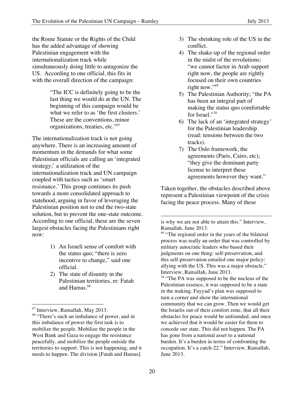the Rome Statute or the Rights of the Child has the added advantage of showing Palestinian engagement with the internationalization track while simultaneously doing little to antagonize the US. According to one official, this fits in with the overall direction of the campaign:

> "The ICC is definitely going to be the last thing we would do at the UN. The beginning of this campaign would be what we refer to as 'the first clusters.' These are the conventions, minor organizations, treaties, etc."<sup>67</sup>

The internationalization track is not going anywhere. There is an increasing amount of momentum in the demands for what some Palestinian officials are calling an 'integrated strategy;' a utilization of the internationalization track and UN campaign coupled with tactics such as 'smart resistance.' This group continues its push towards a more consolidated approach to statehood, arguing in favor of leveraging the Palestinian position not to end the two-state solution, but to prevent the one-state outcome. According to one official, these are the seven largest obstacles facing the Palestinians right now:

- 1) An Israeli sense of comfort with the status quo; "there is zero incentive to change," said one official.
- 2) The state of disunity in the Palestinian territories, re: Fatah and Hamas.<sup>68</sup>
- 3) The shrinking role of the US in the conflict.
- 4) The shake-up of the regional order in the midst of the revolutions; "we cannot factor in Arab support right now, the people are rightly focused on their own countries right now."<sup>69</sup>
- 5) The Palestinian Authority; "the PA has been an integral part of making the status quo comfortable for Israel."70
- 6) The lack of an 'integrated strategy' for the Palestinian leadership (read: tensions between the two tracks).
- 7) The Oslo framework, the agreements (Paris, Cairo, etc); "they give the dominant party license to interpret these agreements however they want."

Taken together, the obstacles described above represent a Palestinian viewpoint of the crisis facing the peace process. Many of these

 67 Interview, Ramallah, May 2013.

<sup>&</sup>lt;sup>68</sup> "There's such an imbalance of power, and in this imbalance of power the first task is to mobilize the people. Mobilize the people in the West Bank and Gaza to engage the resistance peacefully, and mobilize the people outside the territories to support. This is not happening, and it needs to happen. The division [Fatah and Hamas]

is why we are not able to attain this." Interview, Ramallah, June 2013.

<sup>&</sup>lt;sup>69</sup> "The regional order in the years of the bilateral process was really an order that was controlled by military autocratic leaders who based their judgments on one thing: self-preservation, and this self-preservation entailed one major policy: allying with the US. This was a major obstacle." Interview, Ramallah, June 2013.

<sup>&</sup>lt;sup>70</sup> "The PA was supposed to be the nucleus of the Palestinian essence, it was supposed to be a state in the making. Fayyad's plan was supposed to turn a corner and show the international community that we can grow. Then we would get the Israelis out of their comfort zone, that all their obstacles for peace would be unfounded, and once we achieved that it would be easier for them to concede our state. This did not happen. The PA has gone from a national asset to a national burden. It's a burden in terms of confronting the occupation. It's a catch-22." Interview, Ramallah, June 2013.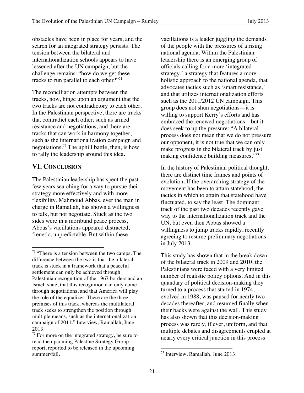obstacles have been in place for years, and the search for an integrated strategy persists. The tension between the bilateral and internationalization schools appears to have lessened after the UN campaign, but the challenge remains: "how do we get these tracks to run parallel to each other?"<sup>71</sup>

The reconciliation attempts between the tracks, now, hinge upon an argument that the two tracks are not contradictory to each other. In the Palestinian perspective, there are tracks that contradict each other, such as armed resistance and negotiations, and there are tracks that can work in harmony together, such as the internationalization campaign and negotiations.72 The uphill battle, then, is how to rally the leadership around this idea.

#### **VI. CONCLUSION**

The Palestinian leadership has spent the past few years searching for a way to pursue their strategy more effectively and with more flexibility. Mahmoud Abbas, ever the man in charge in Ramallah, has shown a willingness to talk, but not negotiate. Stuck as the two sides were in a moribund peace process, Abbas's vacillations appeared distracted, frenetic, unpredictable. But within these

 

vacillations is a leader juggling the demands of the people with the pressures of a rising national agenda. Within the Palestinian leadership there is an emerging group of officials calling for a more 'integrated strategy,' a strategy that features a more holistic approach to the national agenda, that advocates tactics such as 'smart resistance,' and that utilizes internationalization efforts such as the 2011/2012 UN campaign. This group does not shun negotiations—it is willing to support Kerry's efforts and has embraced the renewed negotiations—but it does seek to up the pressure: "A bilateral process does not mean that we do not pressure our opponent, it is not true that we can only make progress in the bilateral track by just making confidence building measures."73

In the history of Palestinian political thought, there are distinct time frames and points of evolution. If the overarching strategy of the movement has been to attain statehood, the tactics in which to attain that statehood have fluctuated, to say the least. The dominant track of the past two decades recently gave way to the internationalization track and the UN, but even then Abbas showed a willingness to jump tracks rapidly, recently agreeing to resume preliminary negotiations in July 2013.

This study has shown that in the break down of the bilateral track in 2009 and 2010, the Palestinians were faced with a very limited number of realistic policy options. And in this quandary of political decision-making they turned to a process that started in 1974, evolved in 1988, was paused for nearly two decades thereafter, and resumed finally when their backs were against the wall. This study has also shown that this decision-making process was rarely, if ever, uniform, and that multiple debates and disagreements erupted at nearly every critical junction in this process.

 $71$  "There is a tension between the two camps. The difference between the two is that the bilateral track is stuck in a framework that a peaceful settlement can only be achieved through Palestinian recognition of the 1967 borders and an Israeli state, that this recognition can only come through negotiations, and that America will play the role of the equalizer. These are the three premises of this track, whereas the multilateral track seeks to strengthen the position through multiple means, such as the internationalization campaign of 2011." Interview, Ramallah, June 2013.

 $72$  For more on the integrated strategy, be sure to read the upcoming Palestine Strategy Group report, reported to be released in the upcoming summer/fall.

 73 Interview, Ramallah, June 2013.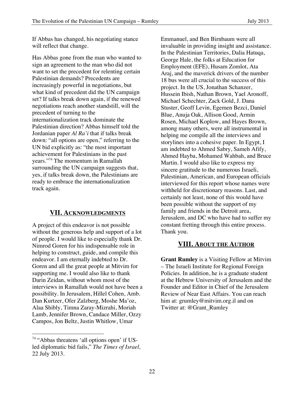If Abbas has changed, his negotiating stance will reflect that change.

Has Abbas gone from the man who wanted to sign an agreement to the man who did not want to set the precedent for relenting certain Palestinian demands? Precedents are increasingly powerful in negotiations, but what kind of precedent did the UN campaign set? If talks break down again, if the renewed negotiations reach another standstill, will the precedent of turning to the internationalization track dominate the Palestinian direction? Abbas himself told the Jordanian paper *Al Ra'i* that if talks break down: "all options are open," referring to the UN bid explicitly as: "the most important achievement for Palestinians in the past years."74 The momentum in Ramallah surrounding the UN campaign suggests that, yes, if talks break down, the Palestinians are ready to embrace the internationalization track again.

#### **VII. ACKNOWLEDGMENTS**

A project of this endeavor is not possible without the generous help and support of a lot of people. I would like to especially thank Dr. Nimrod Goren for his indispensable role in helping to construct, guide, and compile this endeavor. I am eternally indebted to Dr. Goren and all the great people at Mitvim for supporting me. I would also like to thank Darin Zeidan, without whom most of the interviews in Ramallah would not have been a possibility. In Jerusalem, Hillel Cohen, Amb. Dan Kurtzer, Ofer Zalzberg, Moshe Ma'oz, Alaa Shibly, Timna Zaray-Mizrahi, Moriah Lamb, Jennifer Brown, Candace Miller, Ozzy Campos, Jon Beltz, Justin Whitlow, Umar

 

Emmanuel, and Ben Birnbaum were all invaluable in providing insight and assistance. In the Palestinian Territories, Dalia Hatuqa, George Hale, the folks at Education for Employment (EFE), Husam Zomlot, Ata Araj, and the maverick drivers of the number 18 bus were all crucial to the success of this project. In the US, Jonathan Schanzer, Hussein Ibish, Nathan Brown, Yael Aronoff, Michael Schechter, Zack Gold, J. Dana Stuster, Geoff Levin, Egemen Bezci, Daniel Blue, Anuja Oak, Allison Good, Armin Rosen, Michael Koplow, and Hayes Brown, among many others, were all instrumental in helping me compile all the interviews and storylines into a cohesive paper. In Egypt, I am indebted to Ahmed Sabry, Sameh Afify, Ahmed Hayba, Mohamed Wahbah, and Bruce Martin. I would also like to express my sincere gratitude to the numerous Israeli, Palestinian, American, and European officials interviewed for this report whose names were withheld for discretionary reasons. Last, and certainly not least, none of this would have been possible without the support of my family and friends in the Detroit area, Jerusalem, and DC who have had to suffer my constant fretting through this entire process. Thank you.

#### **VIII. ABOUT THE AUTHOR**

**Grant Rumley** is a Visiting Fellow at Mitvim – The Israeli Institute for Regional Foreign Policies. In addition, he is a graduate student at the Hebrew University of Jerusalem and the Founder and Editor in Chief of the Jerusalem Review of Near East Affairs. You can reach him at: grumley@mitvim.org.il and on Twitter at: @Grant\_Rumley

<sup>&</sup>lt;sup>74</sup> "Abbas threatens 'all options open' if USled diplomatic bid fails," *The Times of Israel,*  22 July 2013.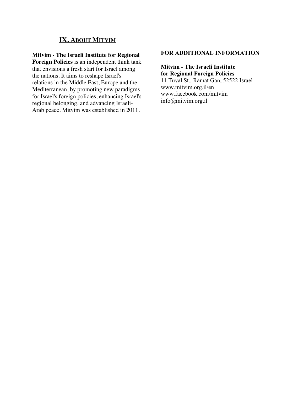### **IX. ABOUT MITVIM**

#### **Mitvim - The Israeli Institute for Regional**

**Foreign Policies** is an independent think tank that envisions a fresh start for Israel among the nations. It aims to reshape Israel's relations in the Middle East, Europe and the Mediterranean, by promoting new paradigms for Israel's foreign policies, enhancing Israel's regional belonging, and advancing Israeli-Arab peace. Mitvim was established in 2011.

#### **FOR ADDITIONAL INFORMATION**

**Mitvim - The Israeli Institute for Regional Foreign Policies** 11 Tuval St., Ramat Gan, 52522 Israel www.mitvim.org.il/en www.facebook.com/mitvim info@mitvim.org.il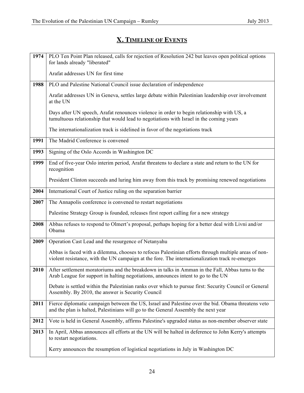## **X. TIMELINE OF EVENTS**

| 1974 | PLO Ten Point Plan released, calls for rejection of Resolution 242 but leaves open political options<br>for lands already "liberated"                                                                   |
|------|---------------------------------------------------------------------------------------------------------------------------------------------------------------------------------------------------------|
|      | Arafat addresses UN for first time                                                                                                                                                                      |
| 1988 | PLO and Palestine National Council issue declaration of independence                                                                                                                                    |
|      | Arafat addresses UN in Geneva, settles large debate within Palestinian leadership over involvement<br>at the UN                                                                                         |
|      | Days after UN speech, Arafat renounces violence in order to begin relationship with US, a<br>tumultuous relationship that would lead to negotiations with Israel in the coming years                    |
|      | The internationalization track is sidelined in favor of the negotiations track                                                                                                                          |
| 1991 | The Madrid Conference is convened                                                                                                                                                                       |
| 1993 | Signing of the Oslo Accords in Washington DC                                                                                                                                                            |
| 1999 | End of five-year Oslo interim period, Arafat threatens to declare a state and return to the UN for<br>recognition                                                                                       |
|      | President Clinton succeeds and luring him away from this track by promising renewed negotiations                                                                                                        |
| 2004 | International Court of Justice ruling on the separation barrier                                                                                                                                         |
| 2007 | The Annapolis conference is convened to restart negotiations                                                                                                                                            |
|      | Palestine Strategy Group is founded, releases first report calling for a new strategy                                                                                                                   |
| 2008 | Abbas refuses to respond to Olmert's proposal, perhaps hoping for a better deal with Livni and/or<br>Obama                                                                                              |
| 2009 | Operation Cast Lead and the resurgence of Netanyahu                                                                                                                                                     |
|      | Abbas is faced with a dilemma, chooses to refocus Palestinian efforts through multiple areas of non-<br>violent resistance, with the UN campaign at the fore. The internationalization track re-emerges |
| 2010 | After settlement moratoriums and the breakdown in talks in Amman in the Fall, Abbas turns to the<br>Arab League for support in halting negotiations, announces intent to go to the UN                   |
|      | Debate is settled within the Palestinian ranks over which to pursue first: Security Council or General<br>Assembly. By 2010, the answer is Security Council                                             |
| 2011 | Fierce diplomatic campaign between the US, Israel and Palestine over the bid. Obama threatens veto<br>and the plan is halted, Palestinians will go to the General Assembly the next year                |
| 2012 | Vote is held in General Assembly, affirms Palestine's upgraded status as non-member observer state                                                                                                      |
| 2013 | In April, Abbas announces all efforts at the UN will be halted in deference to John Kerry's attempts<br>to restart negotiations.                                                                        |
|      | Kerry announces the resumption of logistical negotiations in July in Washington DC                                                                                                                      |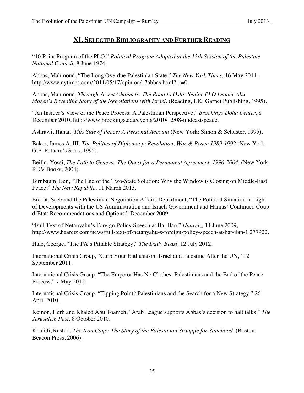#### **XI. SELECTED BIBLIOGRAPHY AND FURTHER READING**

"10 Point Program of the PLO," *Political Program Adopted at the 12th Session of the Palestine National Council,* 8 June 1974.

Abbas, Mahmoud, "The Long Overdue Palestinian State," *The New York Times,* 16 May 2011, http://www.nytimes.com/2011/05/17/opinion/17abbas.html? $r=0$ .

Abbas, Mahmoud, *Through Secret Channels: The Road to Oslo: Senior PLO Leader Abu Mazen's Revealing Story of the Negotiations with Israel, (Reading, UK: Garnet Publishing, 1995).* 

"An Insider's View of the Peace Process: A Palestinian Perspective," *Brookings Doha Center,* 8 December 2010, http://www.brookings.edu/events/2010/12/08-mideast-peace.

Ashrawi, Hanan, *This Side of Peace: A Personal Account* (New York: Simon & Schuster, 1995).

Baker, James A. III, *The Politics of Diplomacy: Revolution, War & Peace 1989-1992* (New York: G.P. Putnam's Sons, 1995).

Beilin, Yossi, *The Path to Geneva: The Quest for a Permanent Agreement, 1996-2004*, (New York: RDV Books, 2004).

Birnbaum, Ben, "The End of the Two-State Solution: Why the Window is Closing on Middle-East Peace," *The New Republic,* 11 March 2013.

Erekat, Saeb and the Palestinian Negotiation Affairs Department, "The Political Situation in Light of Developments with the US Administration and Israeli Government and Hamas' Continued Coup d'Etat: Recommendations and Options," December 2009.

"Full Text of Netanyahu's Foreign Policy Speech at Bar Ilan," *Haaretz,* 14 June 2009, http://www.haaretz.com/news/full-text-of-netanyahu-s-foreign-policy-speech-at-bar-ilan-1.277922.

Hale, George, "The PA's Pitiable Strategy," *The Daily Beast,* 12 July 2012.

International Crisis Group, "Curb Your Enthusiasm: Israel and Palestine After the UN," 12 September 2011.

International Crisis Group, "The Emperor Has No Clothes: Palestinians and the End of the Peace Process," 7 May 2012.

International Crisis Group, "Tipping Point? Palestinians and the Search for a New Strategy." 26 April 2010.

Keinon, Herb and Khaled Abu Toameh, "Arab League supports Abbas's decision to halt talks," *The Jerusalem Post,* 8 October 2010.

Khalidi, Rashid, *The Iron Cage: The Story of the Palestinian Struggle for Statehood,* (Boston: Beacon Press, 2006).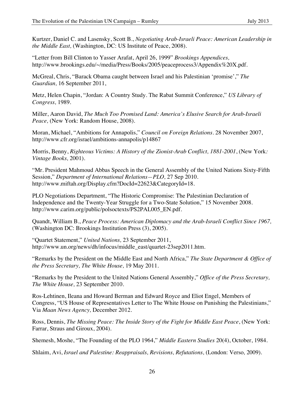Kurtzer, Daniel C. and Lasensky, Scott B., *Negotiating Arab-Israeli Peace: American Leadership in the Middle East,* (Washington, DC: US Institute of Peace, 2008).

"Letter from Bill Clinton to Yasser Arafat, April 26, 1999" *Brookings Appendices,*  http://www.brookings.edu/~/media/Press/Books/2005/peaceprocess3/Appendix%20X.pdf.

McGreal, Chris, "Barack Obama caught between Israel and his Palestinian 'promise'," *The Guardian,* 16 September 2011,

Metz, Helen Chapin, "Jordan: A Country Study. The Rabat Summit Conference," *US Library of Congress,* 1989.

Miller, Aaron David, *The Much Too Promised Land: America's Elusive Search for Arab-Israeli Peace,* (New York: Random House, 2008).

Moran, Michael, "Ambitions for Annapolis," *Council on Foreign Relations.* 28 November 2007, http://www.cfr.org/israel/ambitions-annapolis/p14867

Morris, Benny, *Righteous Victims: A History of the Zionist-Arab Conflict, 1881-2001*, (New York*: Vintage Books,* 2001).

"Mr. President Mahmoud Abbas Speech in the General Assembly of the United Nations Sixty-Fifth Session," *Department of International Relations—PLO,* 27 Sep 2010. http://www.miftah.org/Display.cfm?DocId=22623&CategoryId=18.

PLO Negotiations Department, "The Historic Compromise: The Palestinian Declaration of Independence and the Twenty-Year Struggle for a Two-State Solution," 15 November 2008. http://www.carim.org/public/polsoctexts/PS2PAL005 EN.pdf.

Quandt, William B., *Peace Process: American Diplomacy and the Arab-Israeli Conflict Since 1967,*  (Washington DC: Brookings Institution Press (3), 2005).

"Quartet Statement," *United Nations,* 23 September 2011, http://www.un.org/news/dh/infocus/middle\_east/quartet-23sep2011.htm.

"Remarks by the President on the Middle East and North Africa," *The State Department & Office of the Press Secretary, The White House,* 19 May 2011.

"Remarks by the President to the United Nations General Assembly," *Office of the Press Secretary, The White House,* 23 September 2010.

Ros-Lehtinen, Ileana and Howard Berman and Edward Royce and Eliot Engel, Members of Congress, "US House of Representatives Letter to The White House on Punishing the Palestinians," Via *Maan News Agency,* December 2012.

Ross, Dennis, *The Missing Peace: The Inside Story of the Fight for Middle East Peace*, (New York: Farrar, Straus and Giroux, 2004).

Shemesh, Moshe, "The Founding of the PLO 1964," *Middle Eastern Studies* 20(4), October, 1984.

Shlaim, Avi, *Israel and Palestine: Reappraisals, Revisions, Refutations,* (London: Verso*,* 2009).